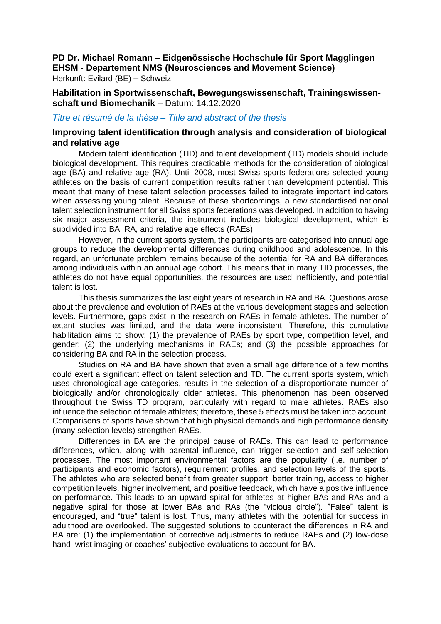# **PD Dr. Michael Romann – Eidgenössische Hochschule für Sport Magglingen EHSM - Departement NMS (Neurosciences and Movement Science)**

Herkunft: Evilard (BE) – Schweiz

**Habilitation in Sportwissenschaft, Bewegungswissenschaft, Trainingswissenschaft und Biomechanik** – Datum: 14.12.2020

# *Titre et résumé de la thèse – Title and abstract of the thesis*

# **Improving talent identification through analysis and consideration of biological and relative age**

Modern talent identification (TID) and talent development (TD) models should include biological development. This requires practicable methods for the consideration of biological age (BA) and relative age (RA). Until 2008, most Swiss sports federations selected young athletes on the basis of current competition results rather than development potential. This meant that many of these talent selection processes failed to integrate important indicators when assessing young talent. Because of these shortcomings, a new standardised national talent selection instrument for all Swiss sports federations was developed. In addition to having six major assessment criteria, the instrument includes biological development, which is subdivided into BA, RA, and relative age effects (RAEs).

However, in the current sports system, the participants are categorised into annual age groups to reduce the developmental differences during childhood and adolescence. In this regard, an unfortunate problem remains because of the potential for RA and BA differences among individuals within an annual age cohort. This means that in many TID processes, the athletes do not have equal opportunities, the resources are used inefficiently, and potential talent is lost.

This thesis summarizes the last eight years of research in RA and BA. Questions arose about the prevalence and evolution of RAEs at the various development stages and selection levels. Furthermore, gaps exist in the research on RAEs in female athletes. The number of extant studies was limited, and the data were inconsistent. Therefore, this cumulative habilitation aims to show: (1) the prevalence of RAEs by sport type, competition level, and gender; (2) the underlying mechanisms in RAEs; and (3) the possible approaches for considering BA and RA in the selection process.

Studies on RA and BA have shown that even a small age difference of a few months could exert a significant effect on talent selection and TD. The current sports system, which uses chronological age categories, results in the selection of a disproportionate number of biologically and/or chronologically older athletes. This phenomenon has been observed throughout the Swiss TD program, particularly with regard to male athletes. RAEs also influence the selection of female athletes; therefore, these 5 effects must be taken into account. Comparisons of sports have shown that high physical demands and high performance density (many selection levels) strengthen RAEs.

Differences in BA are the principal cause of RAEs. This can lead to performance differences, which, along with parental influence, can trigger selection and self-selection processes. The most important environmental factors are the popularity (i.e. number of participants and economic factors), requirement profiles, and selection levels of the sports. The athletes who are selected benefit from greater support, better training, access to higher competition levels, higher involvement, and positive feedback, which have a positive influence on performance. This leads to an upward spiral for athletes at higher BAs and RAs and a negative spiral for those at lower BAs and RAs (the "vicious circle"). "False" talent is encouraged, and "true" talent is lost. Thus, many athletes with the potential for success in adulthood are overlooked. The suggested solutions to counteract the differences in RA and BA are: (1) the implementation of corrective adjustments to reduce RAEs and (2) low-dose hand–wrist imaging or coaches' subjective evaluations to account for BA.